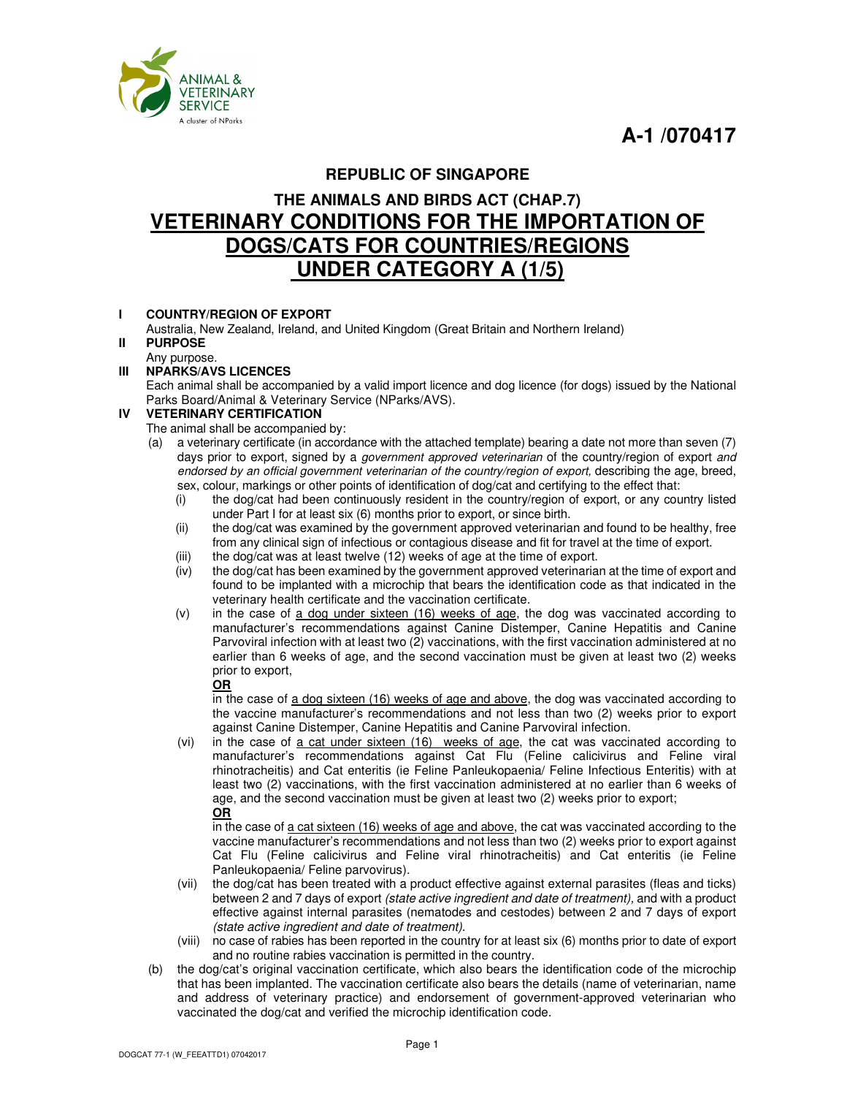**A-1 /070417** 



# **REPUBLIC OF SINGAPORE**

# **THE ANIMALS AND BIRDS ACT (CHAP.7) VETERINARY CONDITIONS FOR THE IMPORTATION OF DOGS/CATS FOR COUNTRIES/REGIONS UNDER CATEGORY A (1/5)**

# **I COUNTRY/REGION OF EXPORT**

 Australia, New Zealand, Ireland, and United Kingdom (Great Britain and Northern Ireland) **II PURPOSE**

#### Any purpose.<br>III NPARKS/AV **III NPARKS/AVS LICENCES**

 Each animal shall be accompanied by a valid import licence and dog licence (for dogs) issued by the National Parks Board/Animal & Veterinary Service (NParks/AVS).

# **IV VETERINARY CERTIFICATION**

- The animal shall be accompanied by:
- (a) a veterinary certificate (in accordance with the attached template) bearing a date not more than seven (7) days prior to export, signed by a *government approved veterinarian* of the country/region of export *and endorsed by an official government veterinarian of the country/region of export,* describing the age, breed, sex, colour, markings or other points of identification of dog/cat and certifying to the effect that:
	- (i) the dog/cat had been continuously resident in the country/region of export, or any country listed under Part I for at least six (6) months prior to export, or since birth.
	- (ii) the dog/cat was examined by the government approved veterinarian and found to be healthy, free from any clinical sign of infectious or contagious disease and fit for travel at the time of export.
	- (iii) the dog/cat was at least twelve (12) weeks of age at the time of export.<br>(iv) the dog/cat has been examined by the government approved veterinarian
	- the dog/cat has been examined by the government approved veterinarian at the time of export and found to be implanted with a microchip that bears the identification code as that indicated in the veterinary health certificate and the vaccination certificate.
	- (v) in the case of a dog under sixteen (16) weeks of age, the dog was vaccinated according to manufacturer's recommendations against Canine Distemper, Canine Hepatitis and Canine Parvoviral infection with at least two (2) vaccinations, with the first vaccination administered at no earlier than 6 weeks of age, and the second vaccination must be given at least two (2) weeks prior to export,

# **OR**

in the case of a dog sixteen (16) weeks of age and above, the dog was vaccinated according to the vaccine manufacturer's recommendations and not less than two (2) weeks prior to export against Canine Distemper, Canine Hepatitis and Canine Parvoviral infection.

(vi) in the case of a cat under sixteen (16) weeks of age, the cat was vaccinated according to manufacturer's recommendations against Cat Flu (Feline calicivirus and Feline viral rhinotracheitis) and Cat enteritis (ie Feline Panleukopaenia/ Feline Infectious Enteritis) with at least two (2) vaccinations, with the first vaccination administered at no earlier than 6 weeks of age, and the second vaccination must be given at least two (2) weeks prior to export; **OR** 

in the case of a cat sixteen (16) weeks of age and above, the cat was vaccinated according to the vaccine manufacturer's recommendations and not less than two (2) weeks prior to export against Cat Flu (Feline calicivirus and Feline viral rhinotracheitis) and Cat enteritis (ie Feline Panleukopaenia/ Feline parvovirus).

- (vii) the dog/cat has been treated with a product effective against external parasites (fleas and ticks) between 2 and 7 days of export *(state active ingredient and date of treatment),* and with a product effective against internal parasites (nematodes and cestodes) between 2 and 7 days of export *(state active ingredient and date of treatment)*.
- (viii) no case of rabies has been reported in the country for at least six (6) months prior to date of export and no routine rabies vaccination is permitted in the country.
- (b) the dog/cat's original vaccination certificate, which also bears the identification code of the microchip that has been implanted. The vaccination certificate also bears the details (name of veterinarian, name and address of veterinary practice) and endorsement of government-approved veterinarian who vaccinated the dog/cat and verified the microchip identification code.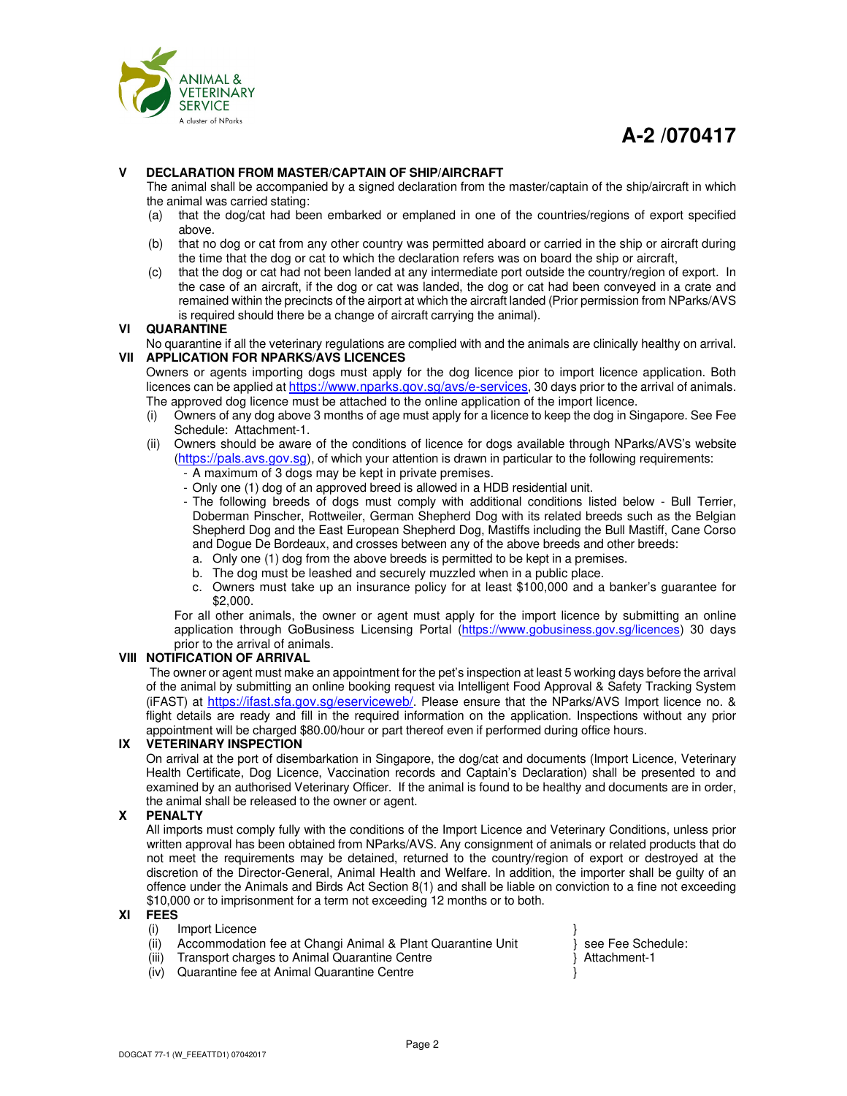



# **V DECLARATION FROM MASTER/CAPTAIN OF SHIP/AIRCRAFT**

 The animal shall be accompanied by a signed declaration from the master/captain of the ship/aircraft in which the animal was carried stating:

- (a) that the dog/cat had been embarked or emplaned in one of the countries/regions of export specified above.
- (b) that no dog or cat from any other country was permitted aboard or carried in the ship or aircraft during the time that the dog or cat to which the declaration refers was on board the ship or aircraft,
- (c) that the dog or cat had not been landed at any intermediate port outside the country/region of export. In the case of an aircraft, if the dog or cat was landed, the dog or cat had been conveyed in a crate and remained within the precincts of the airport at which the aircraft landed (Prior permission from NParks/AVS is required should there be a change of aircraft carrying the animal).

# **VI QUARANTINE**

 No quarantine if all the veterinary regulations are complied with and the animals are clinically healthy on arrival. **VII APPLICATION FOR NPARKS/AVS LICENCES**

 Owners or agents importing dogs must apply for the dog licence pior to import licence application. Both licences can be applied at https://www.nparks.gov.sg/avs/e-services, 30 days prior to the arrival of animals. The approved dog licence must be attached to the online application of the import licence.

- (i) Owners of any dog above 3 months of age must apply for a licence to keep the dog in Singapore. See Fee Schedule: Attachment-1.
- (ii) Owners should be aware of the conditions of licence for dogs available through NParks/AVS's website (https://pals.avs.gov.sg), of which your attention is drawn in particular to the following requirements:
	- A maximum of 3 dogs may be kept in private premises.
	- Only one (1) dog of an approved breed is allowed in a HDB residential unit.
	- The following breeds of dogs must comply with additional conditions listed below Bull Terrier, Doberman Pinscher, Rottweiler, German Shepherd Dog with its related breeds such as the Belgian Shepherd Dog and the East European Shepherd Dog, Mastiffs including the Bull Mastiff, Cane Corso and Dogue De Bordeaux, and crosses between any of the above breeds and other breeds:
	- a. Only one (1) dog from the above breeds is permitted to be kept in a premises.
	- b. The dog must be leashed and securely muzzled when in a public place.
	- c. Owners must take up an insurance policy for at least \$100,000 and a banker's guarantee for \$2,000.

For all other animals, the owner or agent must apply for the import licence by submitting an online application through GoBusiness Licensing Portal (https://www.gobusiness.gov.sg/licences) 30 days prior to the arrival of animals.

# **VIII NOTIFICATION OF ARRIVAL**

 The owner or agent must make an appointment for the pet's inspection at least 5 working days before the arrival of the animal by submitting an online booking request via Intelligent Food Approval & Safety Tracking System (iFAST) at https://ifast.sfa.gov.sg/eserviceweb/. Please ensure that the NParks/AVS Import licence no. & flight details are ready and fill in the required information on the application. Inspections without any prior appointment will be charged \$80.00/hour or part thereof even if performed during office hours.

# **IX VETERINARY INSPECTION**

 On arrival at the port of disembarkation in Singapore, the dog/cat and documents (Import Licence, Veterinary Health Certificate, Dog Licence, Vaccination records and Captain's Declaration) shall be presented to and examined by an authorised Veterinary Officer. If the animal is found to be healthy and documents are in order, the animal shall be released to the owner or agent.

# **X PENALTY**

 All imports must comply fully with the conditions of the Import Licence and Veterinary Conditions, unless prior written approval has been obtained from NParks/AVS. Any consignment of animals or related products that do not meet the requirements may be detained, returned to the country/region of export or destroyed at the discretion of the Director-General, Animal Health and Welfare. In addition, the importer shall be guilty of an offence under the Animals and Birds Act Section 8(1) and shall be liable on conviction to a fine not exceeding \$10,000 or to imprisonment for a term not exceeding 12 months or to both.

# **XI FEES**

- (i) Import Licence
- (ii) Accommodation fee at Changi Animal & Plant Quarantine Unit  $\overrightarrow{ }$  see Fee Schedule:
- (iii) Transport charges to Animal Quarantine Centre  $\}$  Attachment-1
- (iv) Quarantine fee at Animal Quarantine Centre }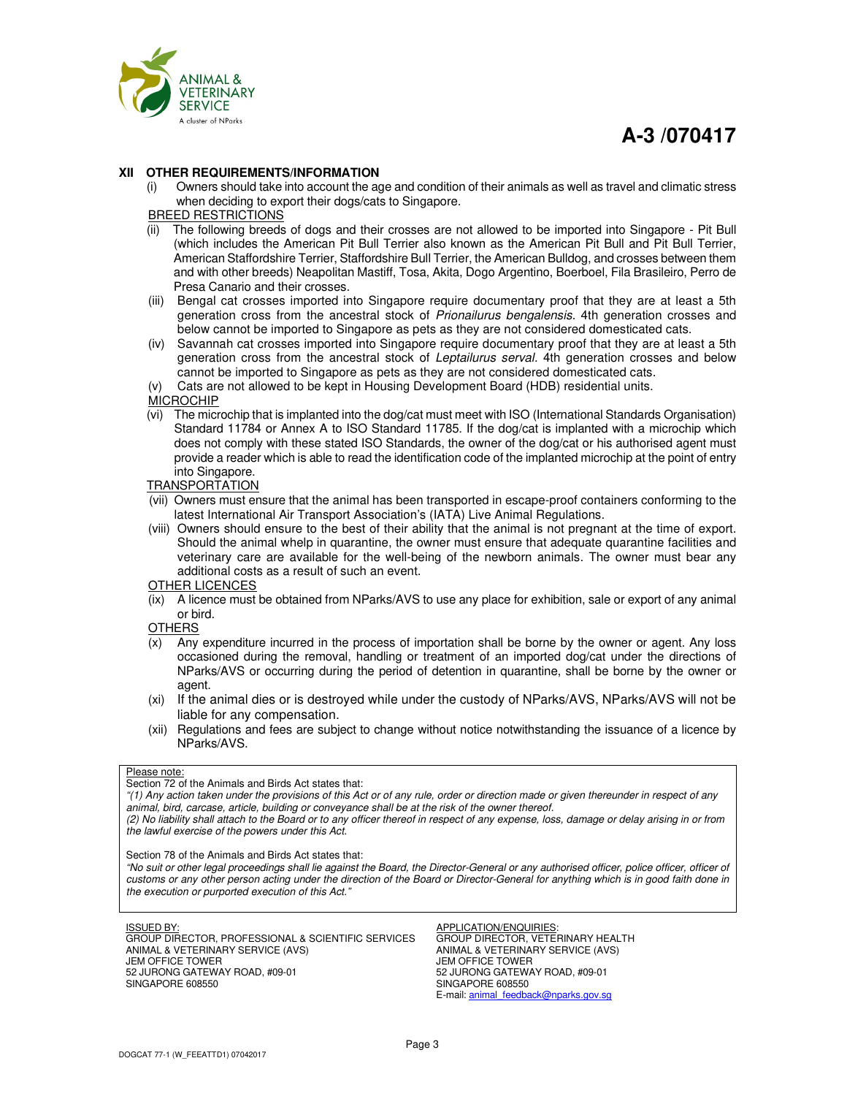

# **A-3 /070417**

#### **XII OTHER REQUIREMENTS/INFORMATION**

- (i) Owners should take into account the age and condition of their animals as well as travel and climatic stress when deciding to export their dogs/cats to Singapore.
- BREED RESTRICTIONS
- (ii) The following breeds of dogs and their crosses are not allowed to be imported into Singapore Pit Bull (which includes the American Pit Bull Terrier also known as the American Pit Bull and Pit Bull Terrier, American Staffordshire Terrier, Staffordshire Bull Terrier, the American Bulldog, and crosses between them and with other breeds) Neapolitan Mastiff, Tosa, Akita, Dogo Argentino, Boerboel, Fila Brasileiro, Perro de Presa Canario and their crosses.
- (iii) Bengal cat crosses imported into Singapore require documentary proof that they are at least a 5th generation cross from the ancestral stock of *Prionailurus bengalensis.* 4th generation crosses and below cannot be imported to Singapore as pets as they are not considered domesticated cats.
- (iv) Savannah cat crosses imported into Singapore require documentary proof that they are at least a 5th generation cross from the ancestral stock of *Leptailurus serval.* 4th generation crosses and below cannot be imported to Singapore as pets as they are not considered domesticated cats.
- (v) Cats are not allowed to be kept in Housing Development Board (HDB) residential units.

**MICROCHIP** 

(vi) The microchip that is implanted into the dog/cat must meet with ISO (International Standards Organisation) Standard 11784 or Annex A to ISO Standard 11785. If the dog/cat is implanted with a microchip which does not comply with these stated ISO Standards, the owner of the dog/cat or his authorised agent must provide a reader which is able to read the identification code of the implanted microchip at the point of entry into Singapore.

#### TRANSPORTATION

- (vii) Owners must ensure that the animal has been transported in escape-proof containers conforming to the latest International Air Transport Association's (IATA) Live Animal Regulations.
- (viii) Owners should ensure to the best of their ability that the animal is not pregnant at the time of export. Should the animal whelp in quarantine, the owner must ensure that adequate quarantine facilities and veterinary care are available for the well-being of the newborn animals. The owner must bear any additional costs as a result of such an event.

# OTHER LICENCES

(ix) A licence must be obtained from NParks/AVS to use any place for exhibition, sale or export of any animal or bird.

**OTHERS** 

- (x) Any expenditure incurred in the process of importation shall be borne by the owner or agent. Any loss occasioned during the removal, handling or treatment of an imported dog/cat under the directions of NParks/AVS or occurring during the period of detention in quarantine, shall be borne by the owner or agent.
- (xi) If the animal dies or is destroyed while under the custody of NParks/AVS, NParks/AVS will not be liable for any compensation.
- (xii) Regulations and fees are subject to change without notice notwithstanding the issuance of a licence by NParks/AVS.

#### Please note:

Section 72 of the Animals and Birds Act states that:

*"(1) Any action taken under the provisions of this Act or of any rule, order or direction made or given thereunder in respect of any animal, bird, carcase, article, building or conveyance shall be at the risk of the owner thereof.* 

*(2) No liability shall attach to the Board or to any officer thereof in respect of any expense, loss, damage or delay arising in or from the lawful exercise of the powers under this Act.* 

Section 78 of the Animals and Birds Act states that:

*"No suit or other legal proceedings shall lie against the Board, the Director-General or any authorised officer, police officer, officer of customs or any other person acting under the direction of the Board or Director-General for anything which is in good faith done in the execution or purported execution of this Act."* 

#### ISSUED BY:

GROUP DIRECTOR, PROFESSIONAL & SCIENTIFIC SERVICES ANIMAL & VETERINARY SERVICE (AVS) JEM OFFICE TOWER 52 JURONG GATEWAY ROAD, #09-01 SINGAPORE 608550

APPLICATION/ENQUIRIES: GROUP DIRECTOR, VETERINARY HEALTH ANIMAL & VETERINARY SERVICE (AVS) JEM OFFICE TOWER 52 JURONG GATEWAY ROAD, #09-01 SINGAPORE 608550 E-mail: animal\_feedback@nparks.gov.sg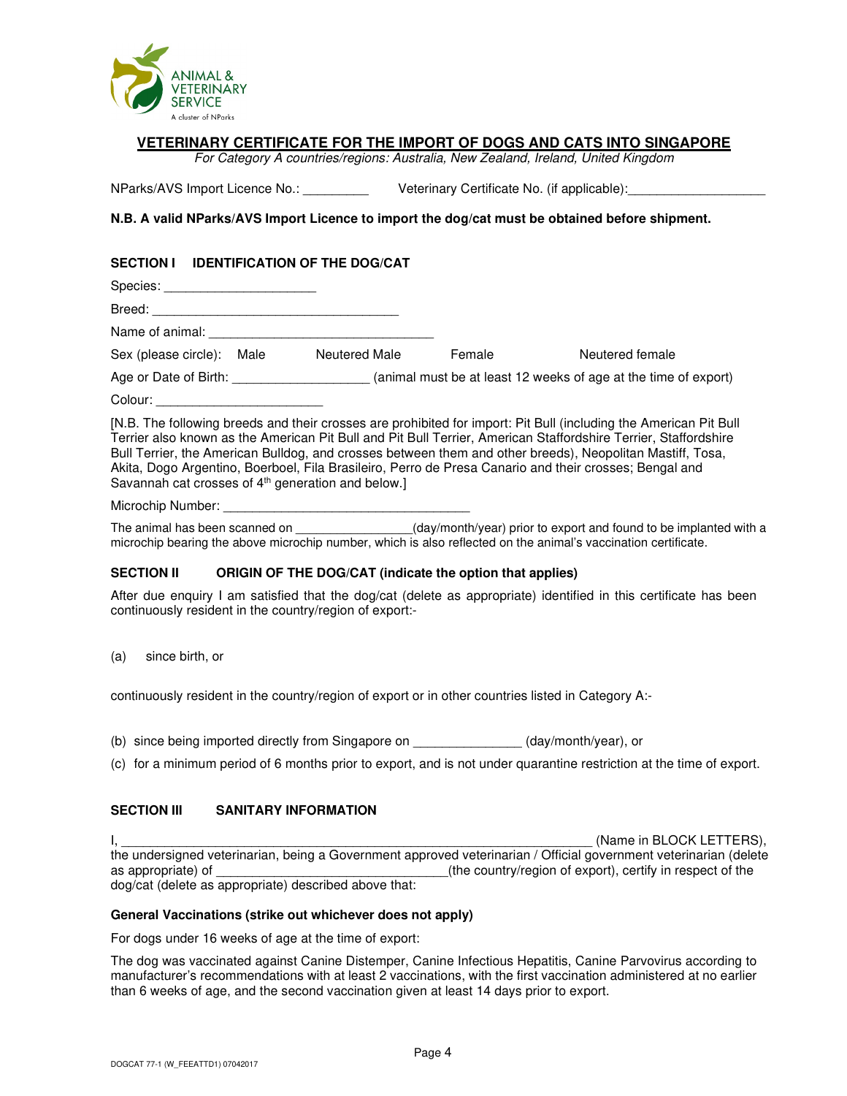

# **VETERINARY CERTIFICATE FOR THE IMPORT OF DOGS AND CATS INTO SINGAPORE**

*For Category A countries/regions: Australia, New Zealand, Ireland, United Kingdom* 

NParks/AVS Import Licence No.: \_\_\_\_\_\_\_\_\_\_\_\_\_\_\_ Veterinary Certificate No. (if applicable):

# **N.B. A valid NParks/AVS Import Licence to import the dog/cat must be obtained before shipment.**

# **SECTION I IDENTIFICATION OF THE DOG/CAT**

| Species:              |      |               |        |                                                                                                                                                                                                                                                                                                                                                                                                                                                             |
|-----------------------|------|---------------|--------|-------------------------------------------------------------------------------------------------------------------------------------------------------------------------------------------------------------------------------------------------------------------------------------------------------------------------------------------------------------------------------------------------------------------------------------------------------------|
| Breed:                |      |               |        |                                                                                                                                                                                                                                                                                                                                                                                                                                                             |
| Name of animal: ____  |      |               |        |                                                                                                                                                                                                                                                                                                                                                                                                                                                             |
| Sex (please circle):  | Male | Neutered Male | Female | Neutered female                                                                                                                                                                                                                                                                                                                                                                                                                                             |
| Age or Date of Birth: |      |               |        | (animal must be at least 12 weeks of age at the time of export)                                                                                                                                                                                                                                                                                                                                                                                             |
| Colour:               |      |               |        |                                                                                                                                                                                                                                                                                                                                                                                                                                                             |
|                       |      |               |        | [N.B. The following breeds and their crosses are prohibited for import: Pit Bull (including the American Pit Bull<br>Terrier also known as the American Pit Bull and Pit Bull Terrier, American Staffordshire Terrier, Staffordshire<br>Bull Terrier, the American Bulldog, and crosses between them and other breeds), Neopolitan Mastiff, Tosa,<br>Akita, Dogo Argentino, Boerboel, Fila Brasileiro, Perro de Presa Canario and their crosses; Bengal and |

Savannah cat crosses of 4<sup>th</sup> generation and below.]

Microchip Number:

The animal has been scanned on \_\_\_\_\_\_\_\_\_\_\_\_\_\_\_\_\_(day/month/year) prior to export and found to be implanted with a microchip bearing the above microchip number, which is also reflected on the animal's vaccination certificate.

# **SECTION II ORIGIN OF THE DOG/CAT (indicate the option that applies)**

After due enquiry I am satisfied that the dog/cat (delete as appropriate) identified in this certificate has been continuously resident in the country/region of export:-

(a) since birth, or

continuously resident in the country/region of export or in other countries listed in Category A:-

- (b) since being imported directly from Singapore on \_\_\_\_\_\_\_\_\_\_\_\_\_\_\_ (day/month/year), or
- (c) for a minimum period of 6 months prior to export, and is not under quarantine restriction at the time of export.

# **SECTION III SANITARY INFORMATION**

 $\blacksquare$ the undersigned veterinarian, being a Government approved veterinarian / Official government veterinarian (delete as appropriate) of  $\qquad \qquad$  (the country/region of export), certify in respect of the dog/cat (delete as appropriate) described above that:

# **General Vaccinations (strike out whichever does not apply)**

For dogs under 16 weeks of age at the time of export:

The dog was vaccinated against Canine Distemper, Canine Infectious Hepatitis, Canine Parvovirus according to manufacturer's recommendations with at least 2 vaccinations, with the first vaccination administered at no earlier than 6 weeks of age, and the second vaccination given at least 14 days prior to export.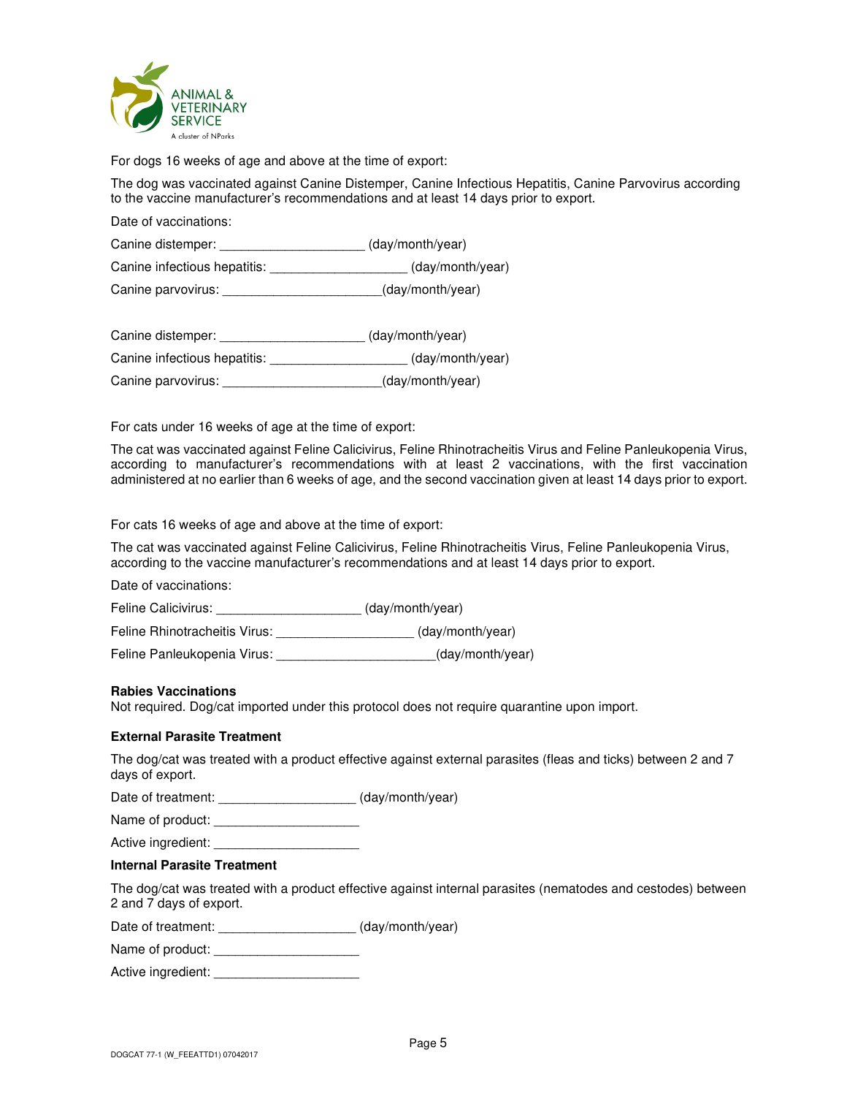

For dogs 16 weeks of age and above at the time of export:

The dog was vaccinated against Canine Distemper, Canine Infectious Hepatitis, Canine Parvovirus according to the vaccine manufacturer's recommendations and at least 14 days prior to export.

Date of vaccinations:

Canine distemper: \_\_\_\_\_\_\_\_\_\_\_\_\_\_\_\_\_\_\_\_ (day/month/year)

Canine infectious hepatitis: \_\_\_\_\_\_\_\_\_\_\_\_\_\_\_\_\_\_\_ (day/month/year)

Canine parvovirus: \_\_\_\_\_\_\_\_\_\_\_\_\_\_\_\_\_\_\_\_\_\_(day/month/year)

Canine distemper: \_\_\_\_\_\_\_\_\_\_\_\_\_\_\_\_\_\_\_\_ (day/month/year) Canine infectious hepatitis: \_\_\_\_\_\_\_\_\_\_\_\_\_\_\_\_\_\_\_ (day/month/year) Canine parvovirus:  $\qquad \qquad$  (day/month/year)

For cats under 16 weeks of age at the time of export:

The cat was vaccinated against Feline Calicivirus, Feline Rhinotracheitis Virus and Feline Panleukopenia Virus, according to manufacturer's recommendations with at least 2 vaccinations, with the first vaccination administered at no earlier than 6 weeks of age, and the second vaccination given at least 14 days prior to export.

For cats 16 weeks of age and above at the time of export:

The cat was vaccinated against Feline Calicivirus, Feline Rhinotracheitis Virus, Feline Panleukopenia Virus, according to the vaccine manufacturer's recommendations and at least 14 days prior to export.

Date of vaccinations:

Feline Calicivirus: \_\_\_\_\_\_\_\_\_\_\_\_\_\_\_\_\_\_\_\_\_\_\_ (day/month/year)

Feline Rhinotracheitis Virus:  $\qquad \qquad$  (day/month/year)

Feline Panleukopenia Virus: <br>
(day/month/year)

# **Rabies Vaccinations**

Not required. Dog/cat imported under this protocol does not require quarantine upon import.

# **External Parasite Treatment**

The dog/cat was treated with a product effective against external parasites (fleas and ticks) between 2 and 7 days of export.

Date of treatment: \_\_\_\_\_\_\_\_\_\_\_\_\_\_\_\_\_\_\_\_\_\_ (day/month/year)

Name of product:

Active ingredient:

# **Internal Parasite Treatment**

The dog/cat was treated with a product effective against internal parasites (nematodes and cestodes) between 2 and 7 days of export.

Date of treatment: \_\_\_\_\_\_\_\_\_\_\_\_\_\_\_\_\_\_\_\_\_\_(day/month/year)

Name of product:

Active ingredient: \_\_\_\_\_\_\_\_\_\_\_\_\_\_\_\_\_\_\_\_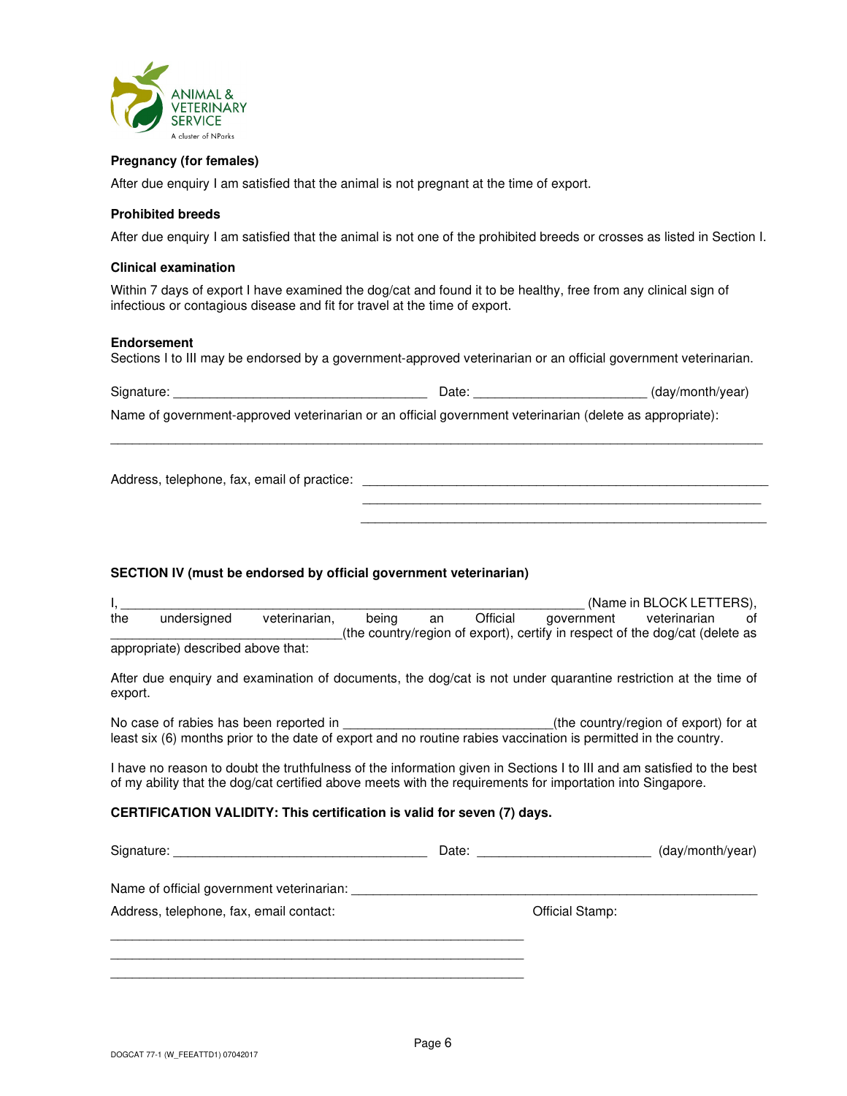

# **Pregnancy (for females)**

After due enquiry I am satisfied that the animal is not pregnant at the time of export.

#### **Prohibited breeds**

After due enquiry I am satisfied that the animal is not one of the prohibited breeds or crosses as listed in Section I.

#### **Clinical examination**

Within 7 days of export I have examined the dog/cat and found it to be healthy, free from any clinical sign of infectious or contagious disease and fit for travel at the time of export.

#### **Endorsement**

Sections I to III may be endorsed by a government-approved veterinarian or an official government veterinarian.

Signature: \_\_\_\_\_\_\_\_\_\_\_\_\_\_\_\_\_\_\_\_\_\_\_\_\_\_\_\_\_\_\_\_\_\_\_ Date: \_\_\_\_\_\_\_\_\_\_\_\_\_\_\_\_\_\_\_\_\_\_\_\_ (day/month/year)

\_\_\_\_\_\_\_\_\_\_\_\_\_\_\_\_\_\_\_\_\_\_\_\_\_\_\_\_\_\_\_\_\_\_\_\_\_\_\_\_\_\_\_\_\_\_\_\_\_\_\_\_\_\_\_\_\_\_\_\_\_\_\_\_\_\_\_\_\_\_\_\_\_\_\_\_\_\_\_\_\_\_\_\_\_\_\_\_\_\_

\_\_\_\_\_\_\_\_\_\_\_\_\_\_\_\_\_\_\_\_\_\_\_\_\_\_\_\_\_\_\_\_\_\_\_\_\_\_\_\_\_\_\_\_\_\_\_\_\_\_\_\_\_\_\_ \_\_\_\_\_\_\_\_\_\_\_\_\_\_\_\_\_\_\_\_\_\_\_\_\_\_\_\_\_\_\_\_\_\_\_\_\_\_\_\_\_\_\_\_\_\_\_\_\_\_\_\_\_\_\_\_

Name of government-approved veterinarian or an official government veterinarian (delete as appropriate):

Address, telephone, fax, email of practice: \_\_\_\_\_\_\_\_\_\_\_\_\_\_\_\_\_\_\_\_\_\_\_\_\_\_\_\_\_\_\_\_\_\_\_\_\_\_\_\_\_\_\_\_\_\_\_\_\_\_\_\_\_\_\_\_

# **SECTION IV (must be endorsed by official government veterinarian)**

|                                    |             |               |       |    |          |            | (Name in BLOCK LETTERS),                                                     |     |
|------------------------------------|-------------|---------------|-------|----|----------|------------|------------------------------------------------------------------------------|-----|
| the                                | undersigned | veterinarian. | beina | an | Official | government | veterinarian                                                                 | ot. |
|                                    |             |               |       |    |          |            | (the country/region of export), certify in respect of the dog/cat (delete as |     |
| appropriate) described above that: |             |               |       |    |          |            |                                                                              |     |

After due enquiry and examination of documents, the dog/cat is not under quarantine restriction at the time of export.

No case of rabies has been reported in the same of the country/region of export) for at least six (6) months prior to the date of export and no routine rabies vaccination is permitted in the country.

I have no reason to doubt the truthfulness of the information given in Sections I to III and am satisfied to the best of my ability that the dog/cat certified above meets with the requirements for importation into Singapore.

# **CERTIFICATION VALIDITY: This certification is valid for seven (7) days.**

|                                           | Date: <u>____________</u> | (day/month/year) |
|-------------------------------------------|---------------------------|------------------|
| Name of official government veterinarian: |                           |                  |
| Address, telephone, fax, email contact:   | Official Stamp:           |                  |
|                                           |                           |                  |
|                                           |                           |                  |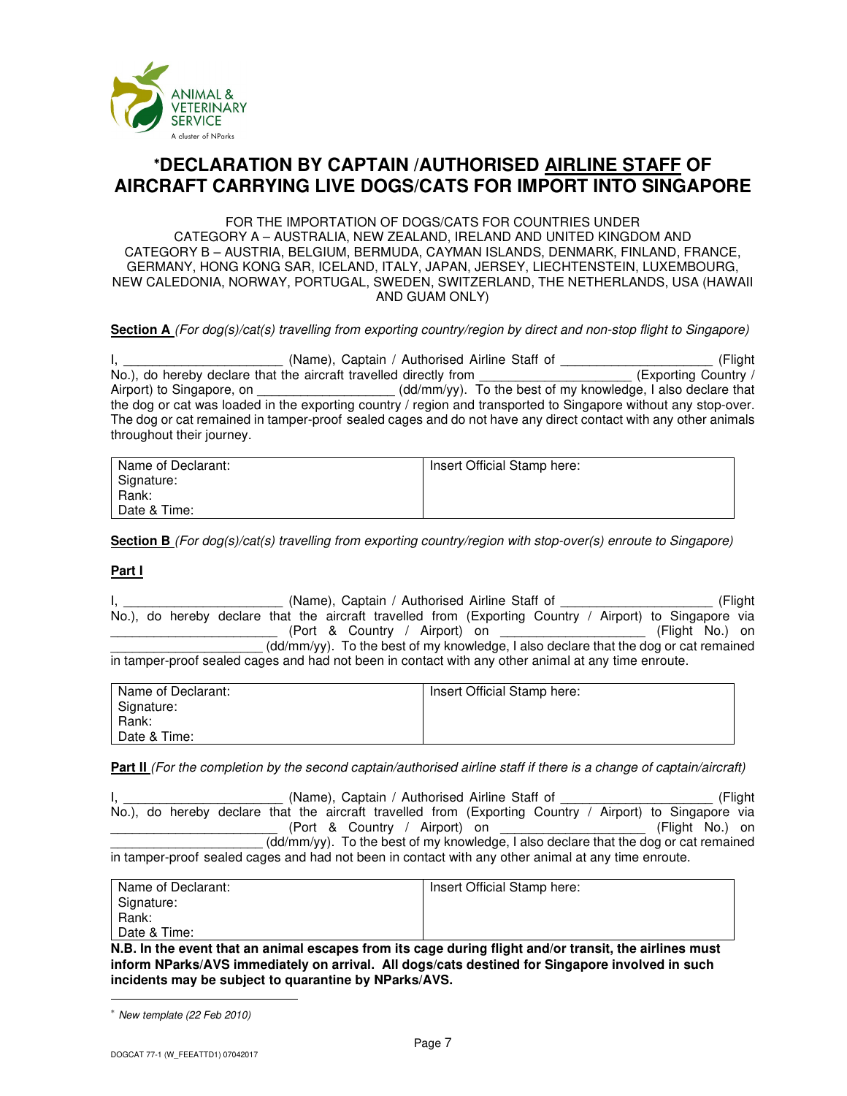

# <sup>∗</sup>**DECLARATION BY CAPTAIN /AUTHORISED AIRLINE STAFF OF AIRCRAFT CARRYING LIVE DOGS/CATS FOR IMPORT INTO SINGAPORE**

FOR THE IMPORTATION OF DOGS/CATS FOR COUNTRIES UNDER CATEGORY A – AUSTRALIA, NEW ZEALAND, IRELAND AND UNITED KINGDOM AND CATEGORY B – AUSTRIA, BELGIUM, BERMUDA, CAYMAN ISLANDS, DENMARK, FINLAND, FRANCE, GERMANY, HONG KONG SAR, ICELAND, ITALY, JAPAN, JERSEY, LIECHTENSTEIN, LUXEMBOURG, NEW CALEDONIA, NORWAY, PORTUGAL, SWEDEN, SWITZERLAND, THE NETHERLANDS, USA (HAWAII AND GUAM ONLY)

# **Section A** *(For dog(s)/cat(s) travelling from exporting country/region by direct and non-stop flight to Singapore)*

I, 1. 1. 2012 (Name), Captain / Authorised Airline Staff of 2012 (Flight No.), do hereby declare that the aircraft travelled directly from (Exporting Country / No.), do hereby declare that the aircraft travelled directly from Airport) to Singapore, on  $\ddot{\text{C}}$  (dd/mm/yy). To the best of my knowledge, I also declare that the dog or cat was loaded in the exporting country / region and transported to Singapore without any stop-over. The dog or cat remained in tamper-proof sealed cages and do not have any direct contact with any other animals throughout their journey.

| Name of Declarant:<br>Signature: | Insert Official Stamp here: |
|----------------------------------|-----------------------------|
| Rank:                            |                             |
| Date & Time:                     |                             |

**Section B** *(For dog(s)/cat(s) travelling from exporting country/region with stop-over(s) enroute to Singapore)*

# **Part I**

I, The Communist Communist (Name), Captain / Authorised Airline Staff of The Communist Communist (Flight No.), do hereby declare that the aircraft travelled from (Exporting Country / Airport) to Singapore via (Port & Country / Airport) on  $(Flight No.)$  on \_\_\_\_\_\_\_\_\_\_\_\_\_\_\_\_\_\_\_\_\_ (dd/mm/yy). To the best of my knowledge, I also declare that the dog or cat remained in tamper-proof sealed cages and had not been in contact with any other animal at any time enroute.

| Name of Declarant: | Insert Official Stamp here: |
|--------------------|-----------------------------|
| Signature:         |                             |
| Rank:              |                             |
| Date & Time:       |                             |

**Part II** *(For the completion by the second captain/authorised airline staff if there is a change of captain/aircraft)*

I, the contract of the Chame), Captain / Authorised Airline Staff of the contract of the contract (Flight No.), do hereby declare that the aircraft travelled from (Exporting Country / Airport) to Singapore via \_\_\_\_\_\_\_\_\_\_\_\_\_\_\_\_\_\_\_\_\_\_\_ (Port & Country / Airport) on \_\_\_\_\_\_\_\_\_\_\_\_\_\_\_\_\_\_\_\_ (Flight No.) on (dd/mm/yy). To the best of my knowledge, I also declare that the dog or cat remained in tamper-proof sealed cages and had not been in contact with any other animal at any time enroute.

| Name of Declarant: | Insert Official Stamp here: |
|--------------------|-----------------------------|
| Signature:         |                             |
| Rank:              |                             |
| Date & Time:       |                             |

**N.B. In the event that an animal escapes from its cage during flight and/or transit, the airlines must inform NParks/AVS immediately on arrival. All dogs/cats destined for Singapore involved in such incidents may be subject to quarantine by NParks/AVS.** 

<sup>∗</sup> *New template (22 Feb 2010)*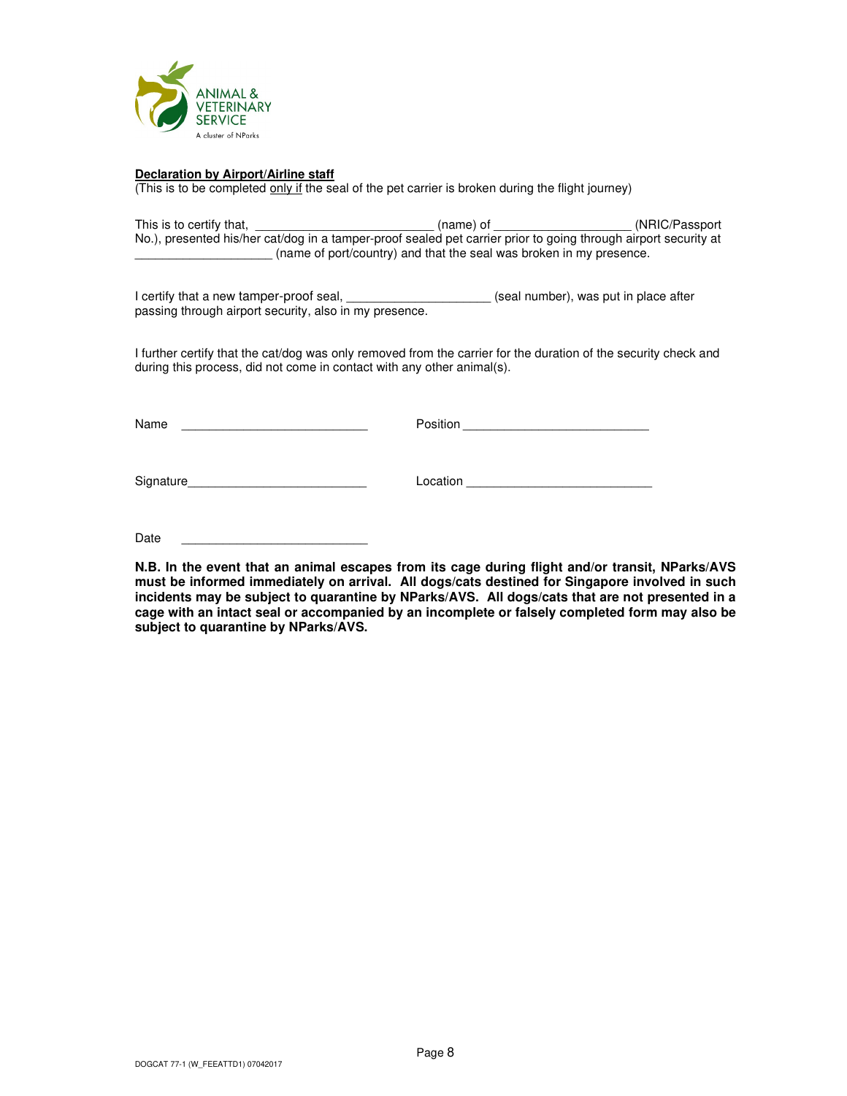

#### **Declaration by Airport/Airline staff**

(This is to be completed only if the seal of the pet carrier is broken during the flight journey)

| This is to certify that,                                                                                        | $(name)$ of | (NRIC/Passport) |  |  |
|-----------------------------------------------------------------------------------------------------------------|-------------|-----------------|--|--|
| No.), presented his/her cat/dog in a tamper-proof sealed pet carrier prior to going through airport security at |             |                 |  |  |
| (name of port/country) and that the seal was broken in my presence.                                             |             |                 |  |  |

I certify that a new tamper-proof seal, \_\_\_\_\_\_\_\_\_\_\_\_\_\_\_\_\_\_\_\_\_\_\_(seal number), was put in place after passing through airport security, also in my presence.

I further certify that the cat/dog was only removed from the carrier for the duration of the security check and during this process, did not come in contact with any other animal(s).

Name example and the contract of the Position example and the contract of the contract of the contract of the contract of the contract of the contract of the contract of the contract of the contract of the contract of the

Signature\_\_\_\_\_\_\_\_\_\_\_\_\_\_\_\_\_\_\_\_\_\_\_\_\_\_ Location \_\_\_\_\_\_\_\_\_\_\_\_\_\_\_\_\_\_\_\_\_\_\_\_\_\_\_

Date

**N.B. In the event that an animal escapes from its cage during flight and/or transit, NParks/AVS must be informed immediately on arrival. All dogs/cats destined for Singapore involved in such incidents may be subject to quarantine by NParks/AVS. All dogs/cats that are not presented in a cage with an intact seal or accompanied by an incomplete or falsely completed form may also be subject to quarantine by NParks/AVS.**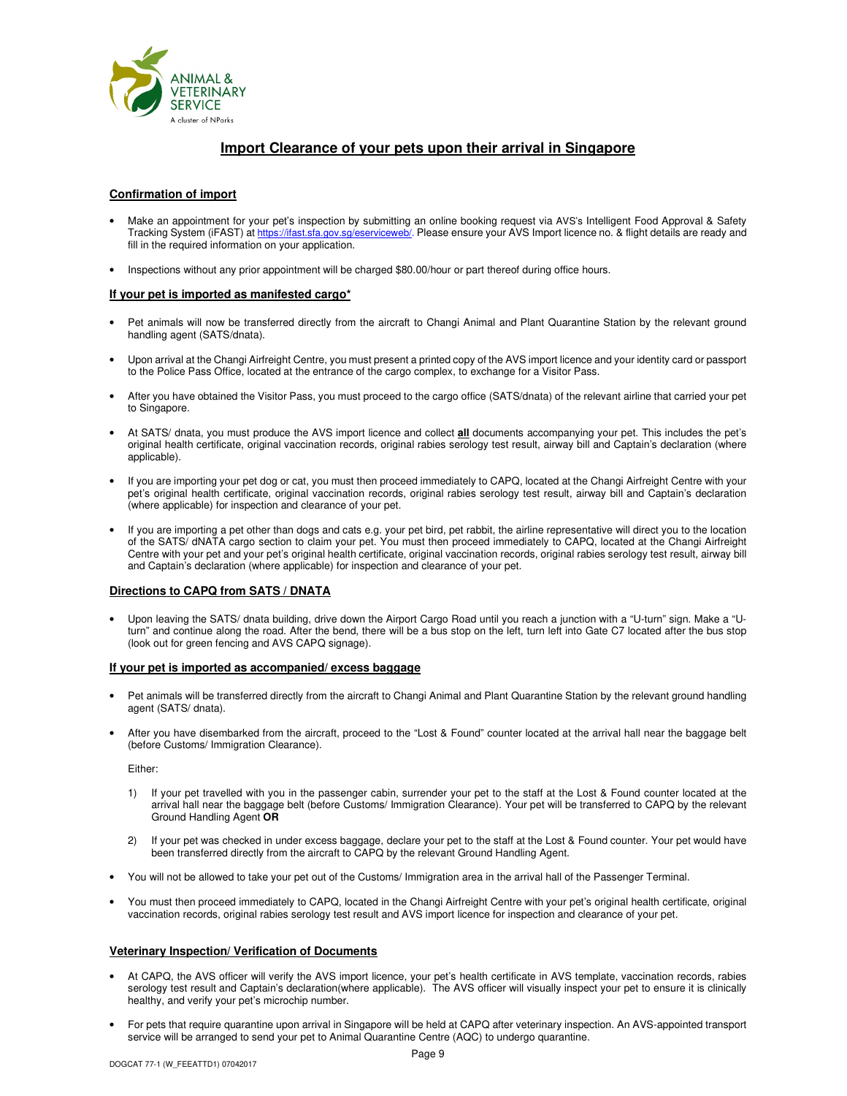

# **Import Clearance of your pets upon their arrival in Singapore**

#### **Confirmation of import**

- Make an appointment for your pet's inspection by submitting an online booking request via AVS's Intelligent Food Approval & Safety Tracking System (iFAST) at https://ifast.sfa.gov.sg/eserviceweb/. Please ensure your AVS Import licence no. & flight details are ready and fill in the required information on your application.
- Inspections without any prior appointment will be charged \$80.00/hour or part thereof during office hours.

#### **If your pet is imported as manifested cargo\***

- Pet animals will now be transferred directly from the aircraft to Changi Animal and Plant Quarantine Station by the relevant ground handling agent (SATS/dnata).
- Upon arrival at the Changi Airfreight Centre, you must present a printed copy of the AVS import licence and your identity card or passport to the Police Pass Office, located at the entrance of the cargo complex, to exchange for a Visitor Pass.
- After you have obtained the Visitor Pass, you must proceed to the cargo office (SATS/dnata) of the relevant airline that carried your pet to Singapore.
- At SATS/ dnata, you must produce the AVS import licence and collect **all** documents accompanying your pet. This includes the pet's original health certificate, original vaccination records, original rabies serology test result, airway bill and Captain's declaration (where applicable).
- If you are importing your pet dog or cat, you must then proceed immediately to CAPQ, located at the Changi Airfreight Centre with your pet's original health certificate, original vaccination records, original rabies serology test result, airway bill and Captain's declaration (where applicable) for inspection and clearance of your pet.
- If you are importing a pet other than dogs and cats e.g. your pet bird, pet rabbit, the airline representative will direct you to the location of the SATS/ dNATA cargo section to claim your pet. You must then proceed immediately to CAPQ, located at the Changi Airfreight Centre with your pet and your pet's original health certificate, original vaccination records, original rabies serology test result, airway bill and Captain's declaration (where applicable) for inspection and clearance of your pet.

#### **Directions to CAPQ from SATS / DNATA**

• Upon leaving the SATS/ dnata building, drive down the Airport Cargo Road until you reach a junction with a "U-turn" sign. Make a "Uturn" and continue along the road. After the bend, there will be a bus stop on the left, turn left into Gate C7 located after the bus stop (look out for green fencing and AVS CAPQ signage).

#### **If your pet is imported as accompanied/ excess baggage**

- Pet animals will be transferred directly from the aircraft to Changi Animal and Plant Quarantine Station by the relevant ground handling agent (SATS/ dnata).
- After you have disembarked from the aircraft, proceed to the "Lost & Found" counter located at the arrival hall near the baggage belt (before Customs/ Immigration Clearance).

Either:

- 1) If your pet travelled with you in the passenger cabin, surrender your pet to the staff at the Lost & Found counter located at the arrival hall near the baggage belt (before Customs/ Immigration Clearance). Your pet will be transferred to CAPQ by the relevant Ground Handling Agent **OR**
- 2) If your pet was checked in under excess baggage, declare your pet to the staff at the Lost & Found counter. Your pet would have been transferred directly from the aircraft to CAPQ by the relevant Ground Handling Agent.
- You will not be allowed to take your pet out of the Customs/ Immigration area in the arrival hall of the Passenger Terminal.
- You must then proceed immediately to CAPQ, located in the Changi Airfreight Centre with your pet's original health certificate, original vaccination records, original rabies serology test result and AVS import licence for inspection and clearance of your pet.

#### **Veterinary Inspection/ Verification of Documents**

- At CAPQ, the AVS officer will verify the AVS import licence, your pet's health certificate in AVS template, vaccination records, rabies serology test result and Captain's declaration(where applicable). The AVS officer will visually inspect your pet to ensure it is clinically healthy, and verify your pet's microchip number.
- For pets that require quarantine upon arrival in Singapore will be held at CAPQ after veterinary inspection. An AVS-appointed transport service will be arranged to send your pet to Animal Quarantine Centre (AQC) to undergo quarantine.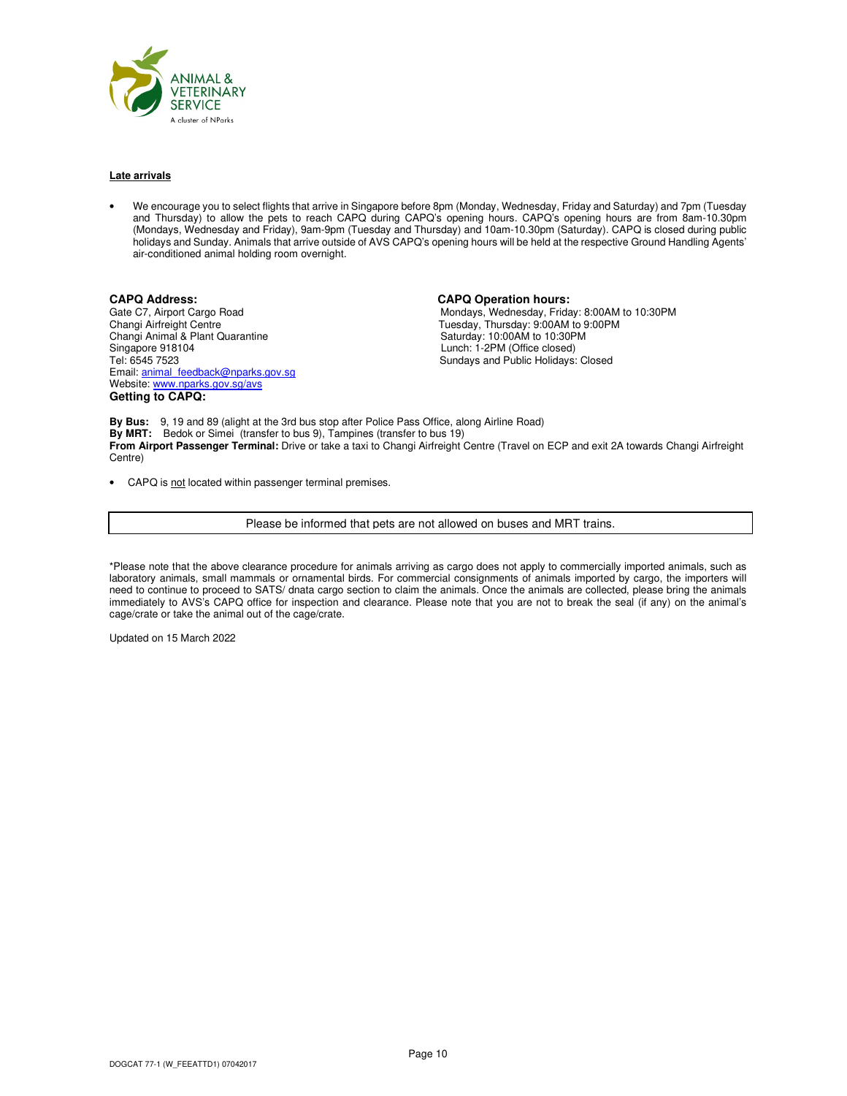

#### **Late arrivals**

• We encourage you to select flights that arrive in Singapore before 8pm (Monday, Wednesday, Friday and Saturday) and 7pm (Tuesday and Thursday) to allow the pets to reach CAPQ during CAPQ's opening hours. CAPQ's opening hours are from 8am-10.30pm (Mondays, Wednesday and Friday), 9am-9pm (Tuesday and Thursday) and 10am-10.30pm (Saturday). CAPQ is closed during public holidays and Sunday. Animals that arrive outside of AVS CAPQ's opening hours will be held at the respective Ground Handling Agents' air-conditioned animal holding room overnight.

**CAPQ Address:** CAPQ Operation hours:<br>
Gate C7, Airport Cargo Road **CAPS** Capacity CAPQ Operation hours: Changi Animal & Plant Quarantine<br>Singapore 918104 Singapore 918104<br>
Tel: 6545 7523<br>
Tel: 6545 7523<br>
Cundays and Public Holidays: Email: animal\_feedback@nparks.gov.sg Website: www.nparks.gov.sg/avs **Getting to CAPQ:** 

Gate C7, Airport Cargo Road **Mondays, Wednesday, Friday: 8:00AM to 10:30PM**<br>Changi Airfreight Centre<br>Changi Airfreight Centre Tuesday, Thursday: 9:00AM to 9:00PM<br>Saturday: 10:00AM to 10:30PM Sundays and Public Holidays: Closed

**By Bus:** 9, 19 and 89 (alight at the 3rd bus stop after Police Pass Office, along Airline Road) **By MRT:** Bedok or Simei (transfer to bus 9), Tampines (transfer to bus 19) **From Airport Passenger Terminal:** Drive or take a taxi to Changi Airfreight Centre (Travel on ECP and exit 2A towards Changi Airfreight Centre)

• CAPQ is not located within passenger terminal premises.

Please be informed that pets are not allowed on buses and MRT trains.

\*Please note that the above clearance procedure for animals arriving as cargo does not apply to commercially imported animals, such as laboratory animals, small mammals or ornamental birds. For commercial consignments of animals imported by cargo, the importers will need to continue to proceed to SATS/ dnata cargo section to claim the animals. Once the animals are collected, please bring the animals immediately to AVS's CAPQ office for inspection and clearance. Please note that you are not to break the seal (if any) on the animal's cage/crate or take the animal out of the cage/crate.

Updated on 15 March 2022